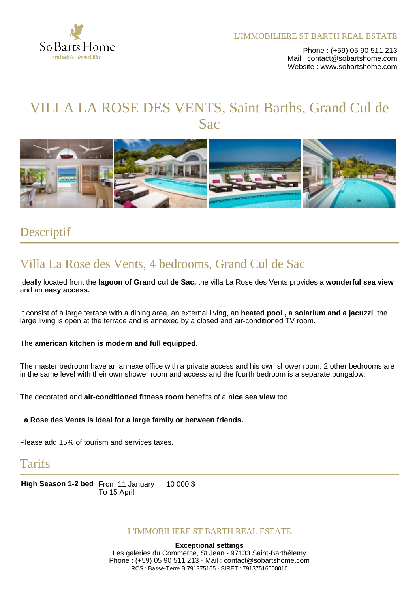

Phone : (+59) 05 90 511 213 Mail: contact@sobartshome.com Website : www.sobartshome.com

# VILLA LA ROSE DES VENTS, Saint Barths, Grand Cul de **Sac**



### Descriptif

## Villa La Rose des Vents, 4 bedrooms, Grand Cul de Sac

Ideally located front the **lagoon of Grand cul de Sac,** the villa La Rose des Vents provides a **wonderful sea view** and an **easy access.**

It consist of a large terrace with a dining area, an external living, an **heated pool , a solarium and a jacuzzi**, the large living is open at the terrace and is annexed by a closed and air-conditioned TV room.

#### The **american kitchen is modern and full equipped**.

The master bedroom have an annexe office with a private access and his own shower room. 2 other bedrooms are in the same level with their own shower room and access and the fourth bedroom is a separate bungalow.

The decorated and **air-conditioned fitness room** benefits of a **nice sea view** too.

#### L**a Rose des Vents is ideal for a large family or between friends.**

Please add 15% of tourism and services taxes.

### Tarifs

**High Season 1-2 bed** From 11 January To 15 April 10 000 \$

#### L'IMMOBILIERE ST BARTH REAL ESTATE

**Exceptional settings** Les galeries du Commerce, St Jean - 97133 Saint-Barthélemy Phone : (+59) 05 90 511 213 - Mail : contact@sobartshome.com RCS : Basse-Terre B 791375165 - SIRET : 79137516500010